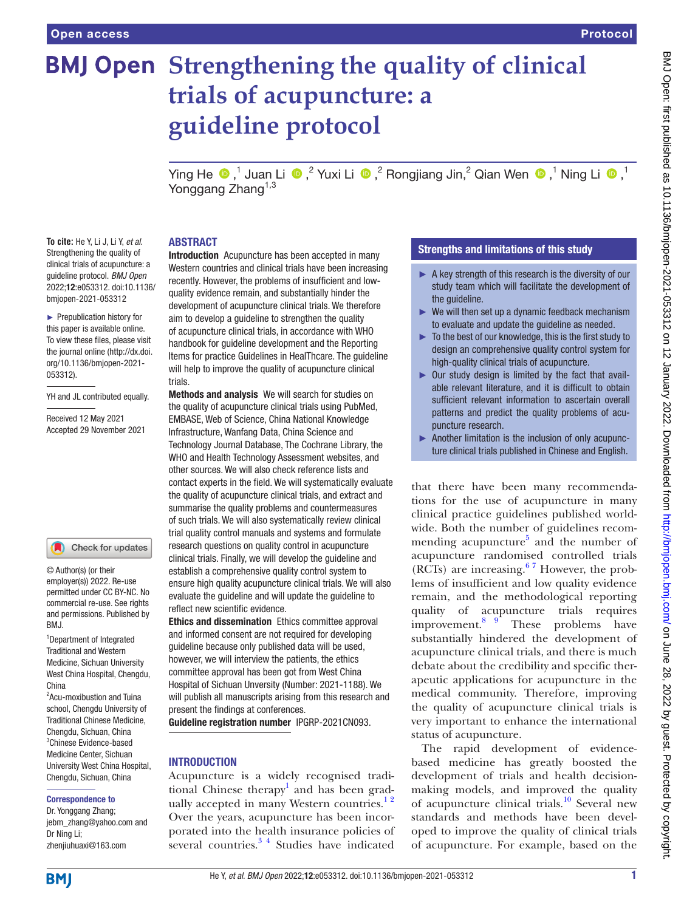# **BMJ Open Strengthening the quality of clinical trials of acupuncture: a guideline protocol** YingHe  $\bigcirc$ ,<sup>1</sup> Juan Li  $\bigcirc$ ,<sup>2</sup> Yuxi Li  $\bigcirc$ ,<sup>2</sup> Rongjiang Jin,<sup>2</sup> Qian Wen  $\bigcirc$ ,<sup>1</sup> Ning Li  $\bigcirc$ ,<sup>1</sup> Yonggang Zhang<sup>1,3</sup> ABSTRACT

**To cite:** He Y, Li J, Li Y, *et al*. Strengthening the quality of clinical trials of acupuncture: a guideline protocol. *BMJ Open* 2022;12:e053312. doi:10.1136/ bmjopen-2021-053312

► Prepublication history for this paper is available online. To view these files, please visit the journal online [\(http://dx.doi.](http://dx.doi.org/10.1136/bmjopen-2021-053312) [org/10.1136/bmjopen-2021-](http://dx.doi.org/10.1136/bmjopen-2021-053312) [053312\)](http://dx.doi.org/10.1136/bmjopen-2021-053312).

YH and JL contributed equally.

Received 12 May 2021 Accepted 29 November 2021

#### Check for updates

© Author(s) (or their employer(s)) 2022. Re-use permitted under CC BY-NC. No commercial re-use. See rights and permissions. Published by BMJ.

1 Department of Integrated Traditional and Western Medicine, Sichuan University West China Hospital, Chengdu, China

<sup>2</sup> Acu-moxibustion and Tuina school, Chengdu University of Traditional Chinese Medicine, Chengdu, Sichuan, China 3 Chinese Evidence-based Medicine Center, Sichuan University West China Hospital, Chengdu, Sichuan, China

#### Correspondence to

Dr. Yonggang Zhang; jebm\_zhang@yahoo.com and Dr Ning Li; zhenjiuhuaxi@163.com

Introduction Acupuncture has been accepted in many Western countries and clinical trials have been increasing recently. However, the problems of insufficient and lowquality evidence remain, and substantially hinder the development of acupuncture clinical trials. We therefore aim to develop a guideline to strengthen the quality of acupuncture clinical trials, in accordance with WHO handbook for guideline development and the Reporting Items for practice Guidelines in HealThcare. The guideline will help to improve the quality of acupuncture clinical trials.

Methods and analysis We will search for studies on the quality of acupuncture clinical trials using PubMed, EMBASE, Web of Science, China National Knowledge Infrastructure, Wanfang Data, China Science and Technology Journal Database, The Cochrane Library, the WHO and Health Technology Assessment websites, and other sources. We will also check reference lists and contact experts in the field. We will systematically evaluate the quality of acupuncture clinical trials, and extract and summarise the quality problems and countermeasures of such trials. We will also systematically review clinical trial quality control manuals and systems and formulate research questions on quality control in acupuncture clinical trials. Finally, we will develop the guideline and establish a comprehensive quality control system to ensure high quality acupuncture clinical trials. We will also evaluate the guideline and will update the guideline to reflect new scientific evidence.

Ethics and dissemination Ethics committee approval and informed consent are not required for developing guideline because only published data will be used, however, we will interview the patients, the ethics committee approval has been got from West China Hospital of Sichuan Unversity (Number: 2021-1188). We will publish all manuscripts arising from this research and present the findings at conferences.

Guideline registration number IPGRP-2021CN093.

## INTRODUCTION

Acupuncture is a widely recognised tradi-tional Chinese therapy<sup>[1](#page-6-0)</sup> and has been gradually accepted in many Western countries.<sup>12</sup> Over the years, acupuncture has been incorporated into the health insurance policies of several countries. $34$  Studies have indicated

## Strengths and limitations of this study

- $\blacktriangleright$  A key strength of this research is the diversity of our study team which will facilitate the development of the guideline.
- $\blacktriangleright$  We will then set up a dynamic feedback mechanism to evaluate and update the guideline as needed.
- ► To the best of our knowledge, this is the first study to design an comprehensive quality control system for high-quality clinical trials of acupuncture.
- ► Our study design is limited by the fact that available relevant literature, and it is difficult to obtain sufficient relevant information to ascertain overall patterns and predict the quality problems of acupuncture research.
- ► Another limitation is the inclusion of only acupuncture clinical trials published in Chinese and English.

that there have been many recommendations for the use of acupuncture in many clinical practice guidelines published worldwide. Both the number of guidelines recom-mending acupuncture<sup>[5](#page-6-2)</sup> and the number of acupuncture randomised controlled trials (RCTs) are increasing.<sup>67</sup> However, the problems of insufficient and low quality evidence remain, and the methodological reporting quality of acupuncture trials requires  $\frac{1}{2}$  improvement.<sup>[8 9](#page-6-4)</sup> These problems have substantially hindered the development of acupuncture clinical trials, and there is much debate about the credibility and specific therapeutic applications for acupuncture in the medical community. Therefore, improving the quality of acupuncture clinical trials is very important to enhance the international status of acupuncture.

The rapid development of evidencebased medicine has greatly boosted the development of trials and health decisionmaking models, and improved the quality of acupuncture clinical trials.<sup>10</sup> Several new standards and methods have been developed to improve the quality of clinical trials of acupuncture. For example, based on the

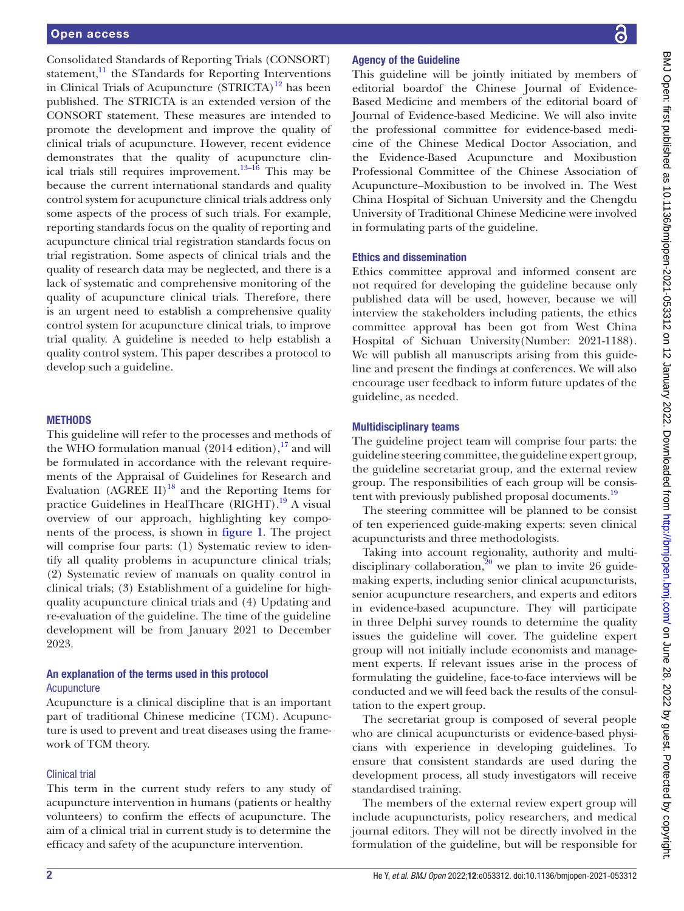Consolidated Standards of Reporting Trials (CONSORT) statement, $\frac{11}{11}$  the STandards for Reporting Interventions in Clinical Trials of Acupuncture  $(STRICTA)^{12}$  has been published. The STRICTA is an extended version of the CONSORT statement. These measures are intended to promote the development and improve the quality of clinical trials of acupuncture. However, recent evidence demonstrates that the quality of acupuncture clinical trials still requires improvement.<sup>13–16</sup> This may be because the current international standards and quality control system for acupuncture clinical trials address only some aspects of the process of such trials. For example, reporting standards focus on the quality of reporting and acupuncture clinical trial registration standards focus on trial registration. Some aspects of clinical trials and the quality of research data may be neglected, and there is a lack of systematic and comprehensive monitoring of the quality of acupuncture clinical trials. Therefore, there is an urgent need to establish a comprehensive quality control system for acupuncture clinical trials, to improve trial quality. A guideline is needed to help establish a quality control system. This paper describes a protocol to develop such a guideline.

## **METHODS**

This guideline will refer to the processes and methods of the WHO formulation manual  $(2014$  edition), <sup>[17](#page-6-9)</sup> and will be formulated in accordance with the relevant requirements of the Appraisal of Guidelines for Research and Evaluation (AGREE II)<sup>18</sup> and the Reporting Items for practice Guidelines in HealThcare (RIGHT).<sup>[19](#page-6-11)</sup> A visual overview of our approach, highlighting key components of the process, is shown in [figure](#page-2-0) 1. The project will comprise four parts: (1) Systematic review to identify all quality problems in acupuncture clinical trials; (2) Systematic review of manuals on quality control in clinical trials; (3) Establishment of a guideline for highquality acupuncture clinical trials and (4) Updating and re-evaluation of the guideline. The time of the guideline development will be from January 2021 to December 2023.

## An explanation of the terms used in this protocol **Acupuncture**

Acupuncture is a clinical discipline that is an important part of traditional Chinese medicine (TCM). Acupuncture is used to prevent and treat diseases using the framework of TCM theory.

#### Clinical trial

This term in the current study refers to any study of acupuncture intervention in humans (patients or healthy volunteers) to confirm the effects of acupuncture. The aim of a clinical trial in current study is to determine the efficacy and safety of the acupuncture intervention.

## Agency of the Guideline

This guideline will be jointly initiated by members of editorial boardof the Chinese Journal of Evidence-Based Medicine and members of the editorial board of Journal of Evidence-based Medicine. We will also invite the professional committee for evidence-based medicine of the Chinese Medical Doctor Association, and the Evidence-Based Acupuncture and Moxibustion Professional Committee of the Chinese Association of Acupuncture–Moxibustion to be involved in. The West China Hospital of Sichuan University and the Chengdu University of Traditional Chinese Medicine were involved in formulating parts of the guideline.

## Ethics and dissemination

Ethics committee approval and informed consent are not required for developing the guideline because only published data will be used, however, because we will interview the stakeholders including patients, the ethics committee approval has been got from West China Hospital of Sichuan University(Number: 2021-1188). We will publish all manuscripts arising from this guideline and present the findings at conferences. We will also encourage user feedback to inform future updates of the guideline, as needed.

## Multidisciplinary teams

The guideline project team will comprise four parts: the guideline steering committee, the guideline expert group, the guideline secretariat group, and the external review group. The responsibilities of each group will be consistent with previously published proposal documents.<sup>19</sup>

The steering committee will be planned to be consist of ten experienced guide-making experts: seven clinical acupuncturists and three methodologists.

Taking into account regionality, authority and multidisciplinary collaboration, $20$  we plan to invite 26 guidemaking experts, including senior clinical acupuncturists, senior acupuncture researchers, and experts and editors in evidence-based acupuncture. They will participate in three Delphi survey rounds to determine the quality issues the guideline will cover. The guideline expert group will not initially include economists and management experts. If relevant issues arise in the process of formulating the guideline, face-to-face interviews will be conducted and we will feed back the results of the consultation to the expert group.

The secretariat group is composed of several people who are clinical acupuncturists or evidence-based physicians with experience in developing guidelines. To ensure that consistent standards are used during the development process, all study investigators will receive standardised training.

The members of the external review expert group will include acupuncturists, policy researchers, and medical journal editors. They will not be directly involved in the formulation of the guideline, but will be responsible for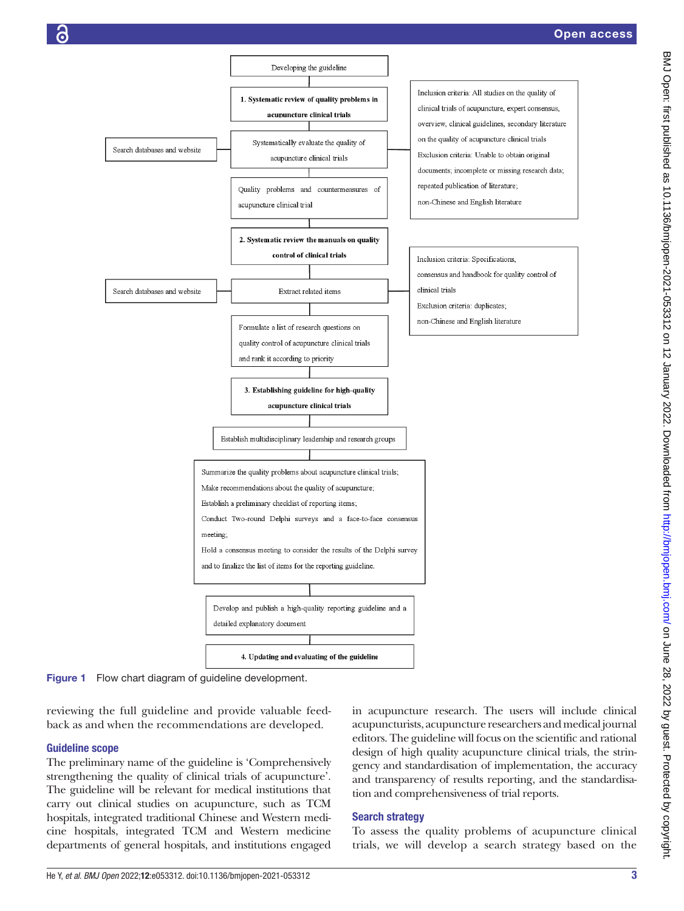

<span id="page-2-0"></span>Figure 1 Flow chart diagram of guideline development.

reviewing the full guideline and provide valuable feedback as and when the recommendations are developed.

## Guideline scope

The preliminary name of the guideline is 'Comprehensively strengthening the quality of clinical trials of acupuncture'. The guideline will be relevant for medical institutions that carry out clinical studies on acupuncture, such as TCM hospitals, integrated traditional Chinese and Western medicine hospitals, integrated TCM and Western medicine departments of general hospitals, and institutions engaged

in acupuncture research. The users will include clinical acupuncturists, acupuncture researchers and medical journal editors. The guideline will focus on the scientific and rational design of high quality acupuncture clinical trials, the stringency and standardisation of implementation, the accuracy and transparency of results reporting, and the standardisation and comprehensiveness of trial reports.

## Search strategy

To assess the quality problems of acupuncture clinical trials, we will develop a search strategy based on the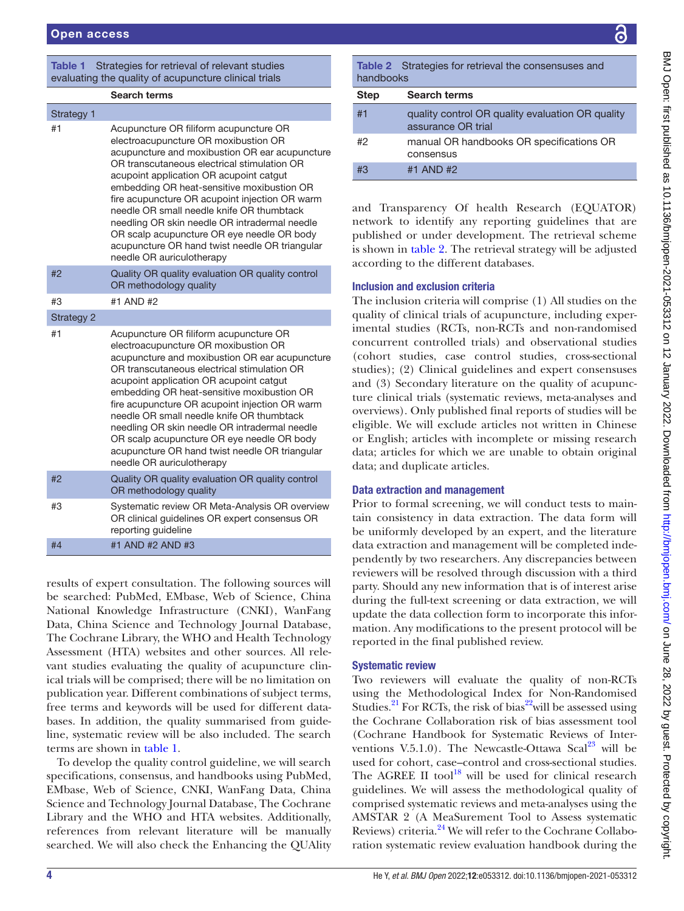## <span id="page-3-0"></span>Table 1 Strategies for retrieval of relevant studies evaluating the quality of acupuncture clinical trials

|                   | <b>Search terms</b>                                                                                                                                                                                                                                                                                                                                                                                                                                                                                                                                   |
|-------------------|-------------------------------------------------------------------------------------------------------------------------------------------------------------------------------------------------------------------------------------------------------------------------------------------------------------------------------------------------------------------------------------------------------------------------------------------------------------------------------------------------------------------------------------------------------|
| Strategy 1        |                                                                                                                                                                                                                                                                                                                                                                                                                                                                                                                                                       |
| #1                | Acupuncture OR filiform acupuncture OR<br>electroacupuncture OR moxibustion OR<br>acupuncture and moxibustion OR ear acupuncture<br>OR transcutaneous electrical stimulation OR<br>acupoint application OR acupoint catqut<br>embedding OR heat-sensitive moxibustion OR<br>fire acupuncture OR acupoint injection OR warm<br>needle OR small needle knife OR thumbtack<br>needling OR skin needle OR intradermal needle<br>OR scalp acupuncture OR eye needle OR body<br>acupuncture OR hand twist needle OR triangular<br>needle OR auriculotherapy |
| #2                | Quality OR quality evaluation OR quality control<br>OR methodology quality                                                                                                                                                                                                                                                                                                                                                                                                                                                                            |
| #3                | #1 AND #2                                                                                                                                                                                                                                                                                                                                                                                                                                                                                                                                             |
| <b>Strategy 2</b> |                                                                                                                                                                                                                                                                                                                                                                                                                                                                                                                                                       |
| #1                | Acupuncture OR filiform acupuncture OR<br>electroacupuncture OR moxibustion OR<br>acupuncture and moxibustion OR ear acupuncture<br>OR transcutaneous electrical stimulation OR<br>acupoint application OR acupoint catgut<br>embedding OR heat-sensitive moxibustion OR<br>fire acupuncture OR acupoint injection OR warm<br>needle OR small needle knife OR thumbtack<br>needling OR skin needle OR intradermal needle<br>OR scalp acupuncture OR eye needle OR body<br>acupuncture OR hand twist needle OR triangular<br>needle OR auriculotherapy |
| #2                | Quality OR quality evaluation OR quality control<br>OR methodology quality                                                                                                                                                                                                                                                                                                                                                                                                                                                                            |
| #3                | Systematic review OR Meta-Analysis OR overview<br>OR clinical guidelines OR expert consensus OR<br>reporting guideline                                                                                                                                                                                                                                                                                                                                                                                                                                |
| #4                | #1 AND #2 AND #3                                                                                                                                                                                                                                                                                                                                                                                                                                                                                                                                      |

results of expert consultation. The following sources will be searched: PubMed, EMbase, Web of Science, China National Knowledge Infrastructure (CNKI), WanFang Data, China Science and Technology Journal Database, The Cochrane Library, the WHO and Health Technology Assessment (HTA) websites and other sources. All relevant studies evaluating the quality of acupuncture clinical trials will be comprised; there will be no limitation on publication year. Different combinations of subject terms, free terms and keywords will be used for different databases. In addition, the quality summarised from guideline, systematic review will be also included. The search terms are shown in [table](#page-3-0) 1.

To develop the quality control guideline, we will search specifications, consensus, and handbooks using PubMed, EMbase, Web of Science, CNKI, WanFang Data, China Science and Technology Journal Database, The Cochrane Library and the WHO and HTA websites. Additionally, references from relevant literature will be manually searched. We will also check the Enhancing the QUAlity <span id="page-3-1"></span>Table 2 Strategies for retrieval the consensuses and handbooks Step Search terms #1 quality control OR quality evaluation OR quality assurance OR trial #2 manual OR handbooks OR specifications OR consensus #3 #1 AND #2

and Transparency Of health Research (EQUATOR) network to identify any reporting guidelines that are published or under development. The retrieval scheme is shown in [table](#page-3-1) 2. The retrieval strategy will be adjusted according to the different databases.

## Inclusion and exclusion criteria

The inclusion criteria will comprise (1) All studies on the quality of clinical trials of acupuncture, including experimental studies (RCTs, non-RCTs and non-randomised concurrent controlled trials) and observational studies (cohort studies, case control studies, cross-sectional studies); (2) Clinical guidelines and expert consensuses and (3) Secondary literature on the quality of acupuncture clinical trials (systematic reviews, meta-analyses and overviews). Only published final reports of studies will be eligible. We will exclude articles not written in Chinese or English; articles with incomplete or missing research data; articles for which we are unable to obtain original data; and duplicate articles.

# Data extraction and management

Prior to formal screening, we will conduct tests to maintain consistency in data extraction. The data form will be uniformly developed by an expert, and the literature data extraction and management will be completed independently by two researchers. Any discrepancies between reviewers will be resolved through discussion with a third party. Should any new information that is of interest arise during the full-text screening or data extraction, we will update the data collection form to incorporate this information. Any modifications to the present protocol will be reported in the final published review.

# Systematic review

Two reviewers will evaluate the quality of non-RCTs using the Methodological Index for Non-Randomised Studies.<sup>21</sup> For RCTs, the risk of bias<sup>22</sup> will be assessed using the Cochrane Collaboration risk of bias assessment tool (Cochrane Handbook for Systematic Reviews of Interventions V.5.1.0). The Newcastle-Ottawa Scal<sup>23</sup> will be used for cohort, case–control and cross-sectional studies. The AGREE II tool $^{18}$  will be used for clinical research guidelines. We will assess the methodological quality of comprised systematic reviews and meta-analyses using the AMSTAR 2 (A MeaSurement Tool to Assess systematic Reviews) criteria.<sup>24</sup> We will refer to the Cochrane Collaboration systematic review evaluation handbook during the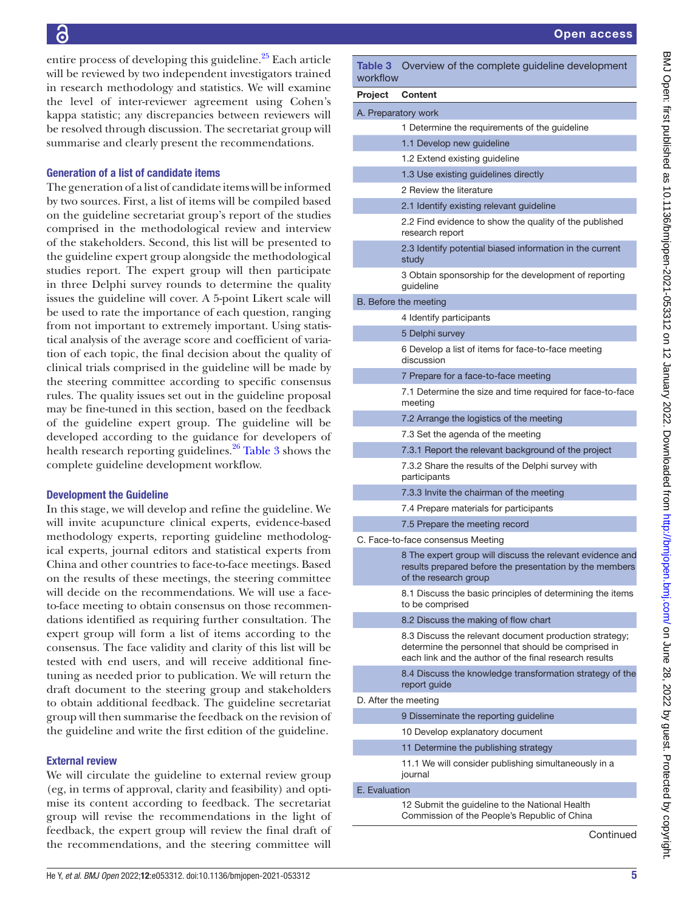entire process of developing this guideline. $^{25}$  Each article will be reviewed by two independent investigators trained in research methodology and statistics. We will examine the level of inter-reviewer agreement using Cohen's kappa statistic; any discrepancies between reviewers will be resolved through discussion. The secretariat group will summarise and clearly present the recommendations.

## Generation of a list of candidate items

The generation of a list of candidate items will be informed by two sources. First, a list of items will be compiled based on the guideline secretariat group's report of the studies comprised in the methodological review and interview of the stakeholders. Second, this list will be presented to the guideline expert group alongside the methodological studies report. The expert group will then participate in three Delphi survey rounds to determine the quality issues the guideline will cover. A 5-point Likert scale will be used to rate the importance of each question, ranging from not important to extremely important. Using statistical analysis of the average score and coefficient of variation of each topic, the final decision about the quality of clinical trials comprised in the guideline will be made by the steering committee according to specific consensus rules. The quality issues set out in the guideline proposal may be fine-tuned in this section, based on the feedback of the guideline expert group. The guideline will be developed according to the guidance for developers of health research reporting guidelines.<sup>26</sup> [Table](#page-4-0) 3 shows the complete guideline development workflow.

# Development the Guideline

In this stage, we will develop and refine the guideline. We will invite acupuncture clinical experts, evidence-based methodology experts, reporting guideline methodological experts, journal editors and statistical experts from China and other countries to face-to-face meetings. Based on the results of these meetings, the steering committee will decide on the recommendations. We will use a faceto-face meeting to obtain consensus on those recommendations identified as requiring further consultation. The expert group will form a list of items according to the consensus. The face validity and clarity of this list will be tested with end users, and will receive additional finetuning as needed prior to publication. We will return the draft document to the steering group and stakeholders to obtain additional feedback. The guideline secretariat group will then summarise the feedback on the revision of the guideline and write the first edition of the guideline.

## External review

We will circulate the guideline to external review group (eg, in terms of approval, clarity and feasibility) and optimise its content according to feedback. The secretariat group will revise the recommendations in the light of feedback, the expert group will review the final draft of the recommendations, and the steering committee will

<span id="page-4-0"></span>

| Table 3<br>workflow   | Overview of the complete guideline development                                                                                                |  |
|-----------------------|-----------------------------------------------------------------------------------------------------------------------------------------------|--|
| Project               | Content                                                                                                                                       |  |
| A. Preparatory work   |                                                                                                                                               |  |
|                       | 1 Determine the requirements of the guideline                                                                                                 |  |
|                       | 1.1 Develop new guideline                                                                                                                     |  |
|                       | 1.2 Extend existing guideline                                                                                                                 |  |
|                       | 1.3 Use existing guidelines directly                                                                                                          |  |
|                       | 2 Review the literature                                                                                                                       |  |
|                       | 2.1 Identify existing relevant guideline                                                                                                      |  |
|                       | 2.2 Find evidence to show the quality of the published<br>research report                                                                     |  |
|                       | 2.3 Identify potential biased information in the current<br>study                                                                             |  |
|                       | 3 Obtain sponsorship for the development of reporting<br>guideline                                                                            |  |
| B. Before the meeting |                                                                                                                                               |  |
|                       | 4 Identify participants                                                                                                                       |  |
|                       | 5 Delphi survey                                                                                                                               |  |
|                       | 6 Develop a list of items for face-to-face meeting<br>discussion                                                                              |  |
|                       | 7 Prepare for a face-to-face meeting                                                                                                          |  |
|                       | 7.1 Determine the size and time required for face-to-face<br>meeting                                                                          |  |
|                       | 7.2 Arrange the logistics of the meeting                                                                                                      |  |
|                       | 7.3 Set the agenda of the meeting                                                                                                             |  |
|                       | 7.3.1 Report the relevant background of the project                                                                                           |  |
|                       | 7.3.2 Share the results of the Delphi survey with<br>participants                                                                             |  |
|                       | 7.3.3 Invite the chairman of the meeting                                                                                                      |  |
|                       | 7.4 Prepare materials for participants                                                                                                        |  |
|                       | 7.5 Prepare the meeting record                                                                                                                |  |
|                       | C. Face-to-face consensus Meeting                                                                                                             |  |
|                       | 8 The expert group will discuss the relevant evidence and<br>results prepared before the presentation by the members<br>of the research group |  |
|                       | 8.1 Discuss the basic principles of determining the items<br>to be comprised                                                                  |  |
|                       | 8.2 Discuss the making of flow chart                                                                                                          |  |
|                       | 8.3 Discuss the relevant document production strategy;                                                                                        |  |

|                      | o. I doo to Tdoo oorloorlodo Mooting                                                                                                                                    |  |
|----------------------|-------------------------------------------------------------------------------------------------------------------------------------------------------------------------|--|
|                      | 8 The expert group will discuss the relevant evidence and<br>results prepared before the presentation by the members<br>of the research group                           |  |
|                      | 8.1 Discuss the basic principles of determining the items<br>to be comprised                                                                                            |  |
|                      | 8.2 Discuss the making of flow chart                                                                                                                                    |  |
|                      | 8.3 Discuss the relevant document production strategy;<br>determine the personnel that should be comprised in<br>each link and the author of the final research results |  |
|                      | 8.4 Discuss the knowledge transformation strategy of the<br>report guide                                                                                                |  |
| D. After the meeting |                                                                                                                                                                         |  |
|                      | 9 Disseminate the reporting guideline                                                                                                                                   |  |
|                      | 10 Develop explanatory document                                                                                                                                         |  |
|                      | 11 Determine the publishing strategy                                                                                                                                    |  |
|                      | 11.1 We will consider publishing simultaneously in a<br>journal                                                                                                         |  |
| E. Evaluation        |                                                                                                                                                                         |  |
|                      | 12 Submit the quideline to the National Health                                                                                                                          |  |

Commission of the People's Republic of China

**Continued**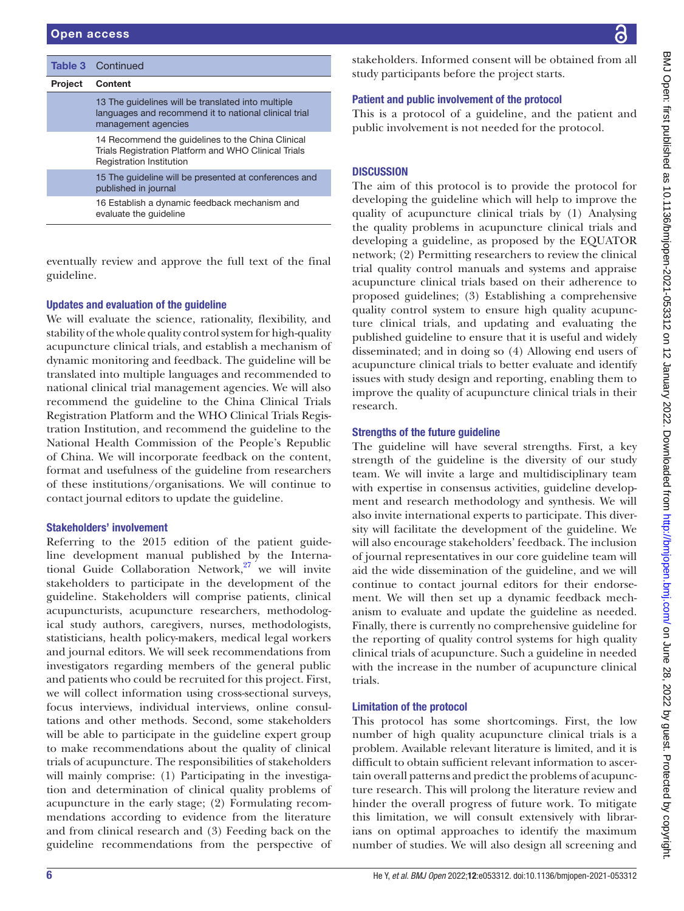|                | <b>Table 3</b> Continued                                                                                                                     |
|----------------|----------------------------------------------------------------------------------------------------------------------------------------------|
| <b>Project</b> | Content                                                                                                                                      |
|                | 13 The quidelines will be translated into multiple<br>languages and recommend it to national clinical trial<br>management agencies           |
|                | 14 Recommend the guidelines to the China Clinical<br>Trials Registration Platform and WHO Clinical Trials<br><b>Registration Institution</b> |
|                | 15 The guideline will be presented at conferences and<br>published in journal                                                                |
|                | 16 Establish a dynamic feedback mechanism and<br>evaluate the quideline                                                                      |

eventually review and approve the full text of the final guideline.

## Updates and evaluation of the guideline

We will evaluate the science, rationality, flexibility, and stability of the whole quality control system for high-quality acupuncture clinical trials, and establish a mechanism of dynamic monitoring and feedback. The guideline will be translated into multiple languages and recommended to national clinical trial management agencies. We will also recommend the guideline to the China Clinical Trials Registration Platform and the WHO Clinical Trials Registration Institution, and recommend the guideline to the National Health Commission of the People's Republic of China. We will incorporate feedback on the content, format and usefulness of the guideline from researchers of these institutions/organisations. We will continue to contact journal editors to update the guideline.

## Stakeholders' involvement

Referring to the 2015 edition of the patient guideline development manual published by the International Guide Collaboration Network, $27$  we will invite stakeholders to participate in the development of the guideline. Stakeholders will comprise patients, clinical acupuncturists, acupuncture researchers, methodological study authors, caregivers, nurses, methodologists, statisticians, health policy-makers, medical legal workers and journal editors. We will seek recommendations from investigators regarding members of the general public and patients who could be recruited for this project. First, we will collect information using cross-sectional surveys, focus interviews, individual interviews, online consultations and other methods. Second, some stakeholders will be able to participate in the guideline expert group to make recommendations about the quality of clinical trials of acupuncture. The responsibilities of stakeholders will mainly comprise: (1) Participating in the investigation and determination of clinical quality problems of acupuncture in the early stage; (2) Formulating recommendations according to evidence from the literature and from clinical research and (3) Feeding back on the guideline recommendations from the perspective of

stakeholders. Informed consent will be obtained from all study participants before the project starts.

## Patient and public involvement of the protocol

This is a protocol of a guideline, and the patient and public involvement is not needed for the protocol.

## **DISCUSSION**

The aim of this protocol is to provide the protocol for developing the guideline which will help to improve the quality of acupuncture clinical trials by (1) Analysing the quality problems in acupuncture clinical trials and developing a guideline, as proposed by the EQUATOR network; (2) Permitting researchers to review the clinical trial quality control manuals and systems and appraise acupuncture clinical trials based on their adherence to proposed guidelines; (3) Establishing a comprehensive quality control system to ensure high quality acupuncture clinical trials, and updating and evaluating the published guideline to ensure that it is useful and widely disseminated; and in doing so (4) Allowing end users of acupuncture clinical trials to better evaluate and identify issues with study design and reporting, enabling them to improve the quality of acupuncture clinical trials in their research.

## Strengths of the future guideline

The guideline will have several strengths. First, a key strength of the guideline is the diversity of our study team. We will invite a large and multidisciplinary team with expertise in consensus activities, guideline development and research methodology and synthesis. We will also invite international experts to participate. This diversity will facilitate the development of the guideline. We will also encourage stakeholders' feedback. The inclusion of journal representatives in our core guideline team will aid the wide dissemination of the guideline, and we will continue to contact journal editors for their endorsement. We will then set up a dynamic feedback mechanism to evaluate and update the guideline as needed. Finally, there is currently no comprehensive guideline for the reporting of quality control systems for high quality clinical trials of acupuncture. Such a guideline in needed with the increase in the number of acupuncture clinical trials.

## Limitation of the protocol

This protocol has some shortcomings. First, the low number of high quality acupuncture clinical trials is a problem. Available relevant literature is limited, and it is difficult to obtain sufficient relevant information to ascertain overall patterns and predict the problems of acupuncture research. This will prolong the literature review and hinder the overall progress of future work. To mitigate this limitation, we will consult extensively with librarians on optimal approaches to identify the maximum number of studies. We will also design all screening and